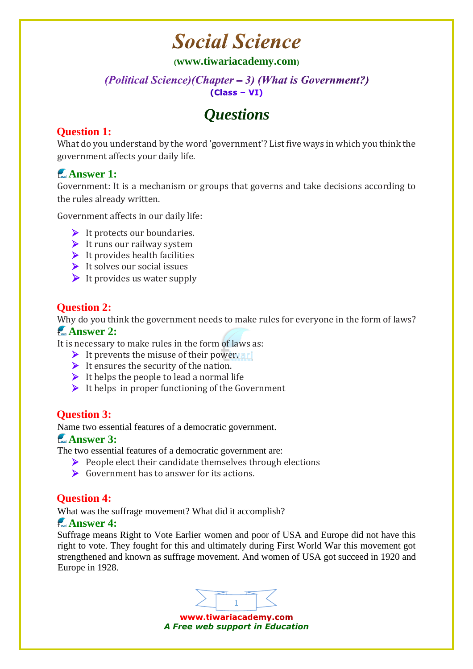# **Social Science**

**([www.tiwariacademy.com](http://www.tiwariacademy.com/))**

#### (Political Science)(Chapter  $-3$ ) (What is Government?)  $(Class - VI)$

# *Questions*

# **Question 1:**

What do you understand by the word 'government'? List five ways in which you think the government affects your daily life.

# **Answer 1:**

Government: It is a mechanism or groups that governs and take decisions according to the rules already written.

Government affects in our daily life:

- $\blacktriangleright$  It protects our boundaries.
- $\blacktriangleright$  It runs our railway system
- $\blacktriangleright$  It provides health facilities
- $\blacktriangleright$  It solves our social issues
- $\blacktriangleright$  It provides us water supply

### **Question 2:**

Why do you think the government needs to make rules for everyone in the form of laws?

#### **Answer 2:**

It is necessary to make rules in the form of laws as:

- $\triangleright$  It prevents the misuse of their power. **ari**
- $\triangleright$  It ensures the security of the nation.
- $\triangleright$  It helps the people to lead a normal life
- $\triangleright$  It helps in proper functioning of the Government

# **Question 3:**

Name two essential features of a democratic government.

#### **Answer 3:**

The two essential features of a democratic government are:

- $\triangleright$  People elect their candidate themselves through elections
- Government has to answer for its actions.

# **Question 4:**

What was the suffrage movement? What did it accomplish?

### **Answer 4:**

Suffrage means Right to Vote Earlier women and poor of USA and Europe did not have this right to vote. They fought for this and ultimately during First World War this movement got strengthened and known as suffrage movement. And women of USA got succeed in 1920 and Europe in 1928.



www.tiwariacademy.com *A Free web support in Education*